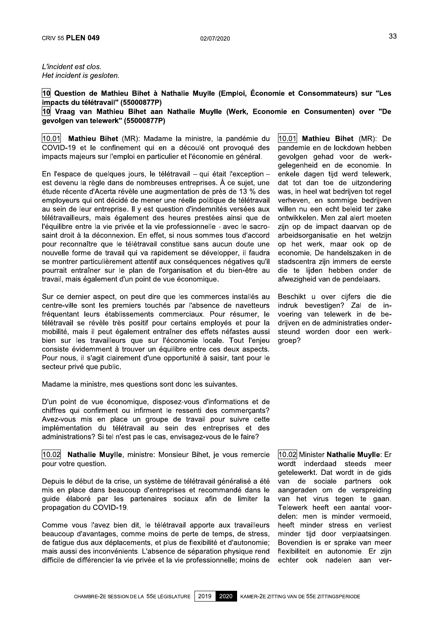## 10 Vraag van Mathieu Bihet aan Nathalie Muylle (Werk, Economie en Consumenten) over "De gevolgen van telewerk" (55000877P)

10.01 Mathieu Bihet (MR): Madame la ministre, la pandémie du COVID-19 et le confinement qui en a découlé ont provoqué des impacts majeurs sur l'emploi en particulier et l'économie en général.

En l'espace de quelques jours, le télétravail – qui était l'exception – est devenu la règle dans de nombreuses entreprises. À ce sujet, une étude récente d'Acerta révèle une augmentation de près de 13 % des employeurs qui ont décidé de mener une réelle politique de télétravail au sein de leur entreprise. Il y est question d'indemnités versées aux télétravailleurs, mais également des heures prestées ainsi que de l'équilibre entre la vie privée et la vie professionnelle - avec le sacrosaint droit à la déconnexion. En effet, si nous sommes tous d'accord pour reconnaître que le télétravail constitue sans aucun doute une nouvelle forme de travail qui va rapidement se développer, il faudra se montrer particulièrement attentif aux conséquences négatives qu'il pourrait entraîner sur le plan de l'organisation et du bien-être au travail, mais également d'un point de vue économique.

Sur ce dernier aspect, on peut dire que les commerces installés au centre-ville sont les premiers touchés par l'absence de navetteurs fréquentant leurs établissements commerciaux. Pour résumer, le télétravail se révèle très positif pour certains employés et pour la mobilité, mais il peut également entraîner des effets néfastes aussi bien sur les travailleurs que sur l'économie locale. Tout l'enjeu consiste évidemment à trouver un équilibre entre ces deux aspects. Pour nous, il s'agit clairement d'une opportunité à saisir, tant pour le secteur privé que public.

Madame la ministre, mes questions sont donc les suivantes.

D'un point de vue économique, disposez-vous d'informations et de chiffres qui confirment ou infirment le ressenti des commerçants? Avez-vous mis en place un groupe de travail pour suivre cette implémentation du télétravail au sein des entreprises et des administrations? Si tel n'est pas le cas, envisagez-vous de le faire?

10.02 Nathalie Muylle, ministre: Monsieur Bihet, je vous remercie pour votre question.

Depuis le début de la crise, un système de télétravail généralisé a été mis en place dans beaucoup d'entreprises et recommandé dans le guide élaboré par les partenaires sociaux afin de limiter la propagation du COVID-19.

Comme vous l'avez bien dit, le télétravail apporte aux travailleurs beaucoup d'avantages, comme moins de perte de temps, de stress, de fatigue dus aux déplacements, et plus de flexibilité et d'autonomie; mais aussi des inconvénients. L'absence de séparation physique rend difficile de différencier la vie privée et la vie professionnelle; moins de

10.01 Mathieu Bihet (MR): De pandemie en de lockdown hebben gevolgen gehad voor de werkgelegenheid en de economie. In enkele dagen tijd werd telewerk, dat tot dan toe de uitzondering was, in heel wat bedrijven tot regel verheven, en sommige bedrijven willen nu een echt beleid ter zake ontwikkelen. Men zal alert moeten zijn op de impact daarvan op de arbeidsorganisatie en het welzijn op het werk, maar ook op de economie. De handelszaken in de stadscentra zijn immers de eerste die te liiden hebben onder de afwezigheid van de pendelaars.

Beschikt u over cijfers die die indruk bevestigen? Zal de invoering van telewerk in de bedriiven en de administraties ondersteund worden door een werkqroep?

10.02 Minister Nathalie Muylle: Er wordt inderdaad steeds meer getelewerkt. Dat wordt in de gids van de sociale partners ook aangeraden om de verspreiding van het virus tegen te gaan. Telewerk heeft een aantal voordelen: men is minder vermoeid, heeft minder stress en verliest minder tijd door verplaatsingen. Bovendien is er sprake van meer flexibiliteit en autonomie. Er zijn echter ook nadelen aan ver-